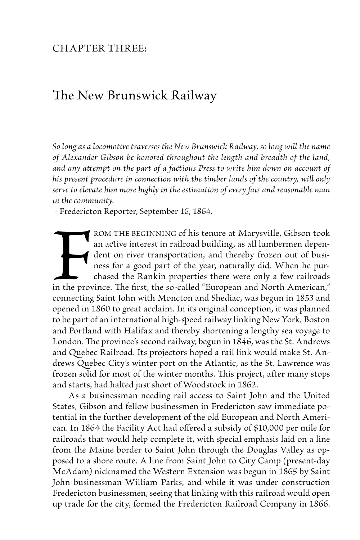## Chapter Three:

## The New Brunswick Railway

*So long as a locomotive traverses the New Brunswick Railway, so long will the name of Alexander Gibson be honored throughout the length and breadth of the land, and any attempt on the part of a factious Press to write him down on account of his present procedure in connection with the timber lands of the country, will only serve to elevate him more highly in the estimation of every fair and reasonable man in the community.*

- Fredericton Reporter, September 16, 1864.

Fin the proven rom the beginning of his tenure at Marysville, Gibson took an active interest in railroad building, as all lumbermen dependent on river transportation, and thereby frozen out of business for a good part of the year, naturally did. When he purchased the Rankin properties there were only a few railroads in the province. The first, the so-called "European and North American," connecting Saint John with Moncton and Shediac, was begun in 1853 and opened in 1860 to great acclaim. In its original conception, it was planned to be part of an international high-speed railway linking New York, Boston and Portland with Halifax and thereby shortening a lengthy sea voyage to London. The province's second railway, begun in 1846, was the St. Andrews and Quebec Railroad. Its projectors hoped a rail link would make St. Andrews Quebec City's winter port on the Atlantic, as the St. Lawrence was frozen solid for most of the winter months. This project, after many stops and starts, had halted just short of Woodstock in 1862.

 As a businessman needing rail access to Saint John and the United States, Gibson and fellow businessmen in Fredericton saw immediate potential in the further development of the old European and North American. In 1864 the Facility Act had offered a subsidy of \$10,000 per mile for railroads that would help complete it, with special emphasis laid on a line from the Maine border to Saint John through the Douglas Valley as opposed to a shore route. A line from Saint John to City Camp (present-day McAdam) nicknamed the Western Extension was begun in 1865 by Saint John businessman William Parks, and while it was under construction Fredericton businessmen, seeing that linking with this railroad would open up trade for the city, formed the Fredericton Railroad Company in 1866.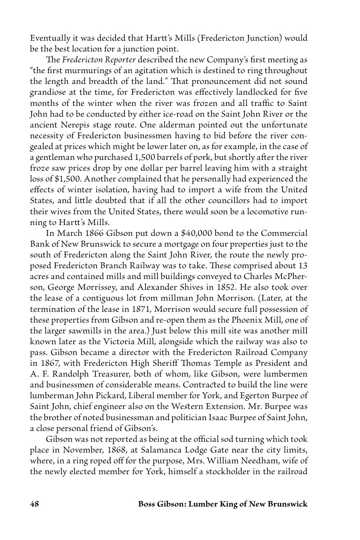Eventually it was decided that Hartt's Mills (Fredericton Junction) would be the best location for a junction point.

The *Fredericton Reporter* described the new Company's first meeting as "the first murmurings of an agitation which is destined to ring throughout the length and breadth of the land." That pronouncement did not sound grandiose at the time, for Fredericton was effectively landlocked for five months of the winter when the river was frozen and all traffic to Saint John had to be conducted by either ice-road on the Saint John River or the ancient Nerepis stage route. One alderman pointed out the unfortunate necessity of Fredericton businessmen having to bid before the river congealed at prices which might be lower later on, as for example, in the case of a gentleman who purchased 1,500 barrels of pork, but shortly after the river froze saw prices drop by one dollar per barrel leaving him with a straight loss of \$1,500. Another complained that he personally had experienced the effects of winter isolation, having had to import a wife from the United States, and little doubted that if all the other councillors had to import their wives from the United States, there would soon be a locomotive running to Hartt's Mills.

 In March 1866 Gibson put down a \$40,000 bond to the Commercial Bank of New Brunswick to secure a mortgage on four properties just to the south of Fredericton along the Saint John River, the route the newly proposed Fredericton Branch Railway was to take. These comprised about 13 acres and contained mills and mill buildings conveyed to Charles McPherson, George Morrissey, and Alexander Shives in 1852. He also took over the lease of a contiguous lot from millman John Morrison. (Later, at the termination of the lease in 1871, Morrison would secure full possession of these properties from Gibson and re-open them as the Phoenix Mill, one of the larger sawmills in the area.) Just below this mill site was another mill known later as the Victoria Mill, alongside which the railway was also to pass. Gibson became a director with the Fredericton Railroad Company in 1867, with Fredericton High Sheriff Thomas Temple as President and A. F. Randolph Treasurer, both of whom, like Gibson, were lumbermen and businessmen of considerable means. Contracted to build the line were lumberman John Pickard, Liberal member for York, and Egerton Burpee of Saint John, chief engineer also on the Western Extension. Mr. Burpee was the brother of noted businessman and politician Isaac Burpee of Saint John, a close personal friend of Gibson's.

 Gibson was not reported as being at the official sod turning which took place in November, 1868, at Salamanca Lodge Gate near the city limits, where, in a ring roped off for the purpose, Mrs. William Needham, wife of the newly elected member for York, himself a stockholder in the railroad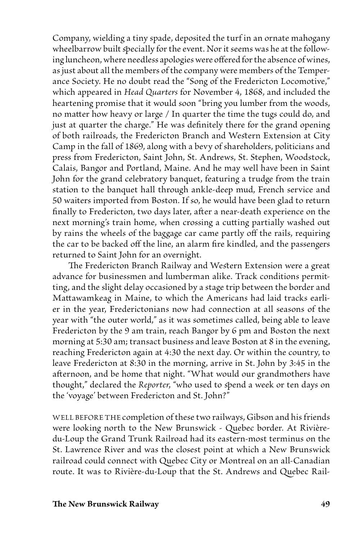Company, wielding a tiny spade, deposited the turf in an ornate mahogany wheelbarrow built specially for the event. Nor it seems was he at the following luncheon, where needless apologies were offered for the absence of wines, as just about all the members of the company were members of the Temperance Society. He no doubt read the "Song of the Fredericton Locomotive," which appeared in *Head Quarters* for November 4, 1868, and included the heartening promise that it would soon "bring you lumber from the woods, no matter how heavy or large / In quarter the time the tugs could do, and just at quarter the charge." He was definitely there for the grand opening of both railroads, the Fredericton Branch and Western Extension at City Camp in the fall of 1869, along with a bevy of shareholders, politicians and press from Fredericton, Saint John, St. Andrews, St. Stephen, Woodstock, Calais, Bangor and Portland, Maine. And he may well have been in Saint John for the grand celebratory banquet, featuring a trudge from the train station to the banquet hall through ankle-deep mud, French service and 50 waiters imported from Boston. If so, he would have been glad to return finally to Fredericton, two days later, after a near-death experience on the next morning's train home, when crossing a cutting partially washed out by rains the wheels of the baggage car came partly off the rails, requiring the car to be backed off the line, an alarm fire kindled, and the passengers returned to Saint John for an overnight.

The Fredericton Branch Railway and Western Extension were a great advance for businessmen and lumberman alike. Track conditions permitting, and the slight delay occasioned by a stage trip between the border and Mattawamkeag in Maine, to which the Americans had laid tracks earlier in the year, Frederictonians now had connection at all seasons of the year with "the outer world," as it was sometimes called, being able to leave Fredericton by the 9 am train, reach Bangor by 6 pm and Boston the next morning at 5:30 am; transact business and leave Boston at 8 in the evening, reaching Fredericton again at 4:30 the next day. Or within the country, to leave Fredericton at 8:30 in the morning, arrive in St. John by 3:45 in the afternoon, and be home that night. "What would our grandmothers have thought," declared the *Reporter*, "who used to spend a week or ten days on the 'voyage' between Fredericton and St. John?"

WELL BEFORE THE completion of these two railways, Gibson and his friends were looking north to the New Brunswick - Quebec border. At Rivièredu-Loup the Grand Trunk Railroad had its eastern-most terminus on the St. Lawrence River and was the closest point at which a New Brunswick railroad could connect with Quebec City or Montreal on an all-Canadian route. It was to Rivière-du-Loup that the St. Andrews and Quebec Rail-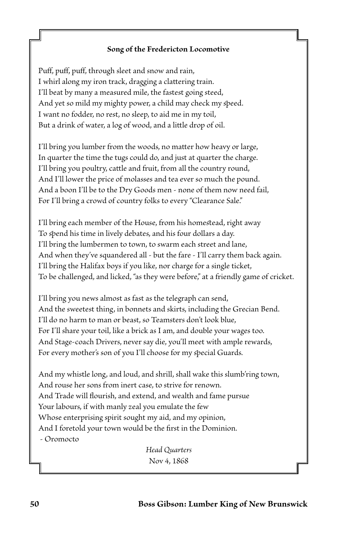## **Song of the Fredericton Locomotive**

Puff, puff, puff, through sleet and snow and rain, I whirl along my iron track, dragging a clattering train. I'll beat by many a measured mile, the fastest going steed, And yet so mild my mighty power, a child may check my speed. I want no fodder, no rest, no sleep, to aid me in my toil, But a drink of water, a log of wood, and a little drop of oil.

I'll bring you lumber from the woods, no matter how heavy or large, In quarter the time the tugs could do, and just at quarter the charge. I'll bring you poultry, cattle and fruit, from all the country round, And I'll lower the price of molasses and tea ever so much the pound. And a boon I'll be to the Dry Goods men - none of them now need fail, For I'll bring a crowd of country folks to every "Clearance Sale."

I'll bring each member of the House, from his homestead, right away To spend his time in lively debates, and his four dollars a day. I'll bring the lumbermen to town, to swarm each street and lane, And when they've squandered all - but the fare - I'll carry them back again. I'll bring the Halifax boys if you like, nor charge for a single ticket, To be challenged, and licked, "as they were before," at a friendly game of cricket.

I'll bring you news almost as fast as the telegraph can send, And the sweetest thing, in bonnets and skirts, including the Grecian Bend. I'll do no harm to man or beast, so Teamsters don't look blue, For I'll share your toil, like a brick as I am, and double your wages too. And Stage-coach Drivers, never say die, you'll meet with ample rewards, For every mother's son of you I'll choose for my special Guards.

And my whistle long, and loud, and shrill, shall wake this slumb'ring town, And rouse her sons from inert case, to strive for renown. And Trade will flourish, and extend, and wealth and fame pursue Your labours, if with manly zeal you emulate the few Whose enterprising spirit sought my aid, and my opinion, And I foretold your town would be the first in the Dominion. - Oromocto

> *Head Quarters* Nov 4, 1868